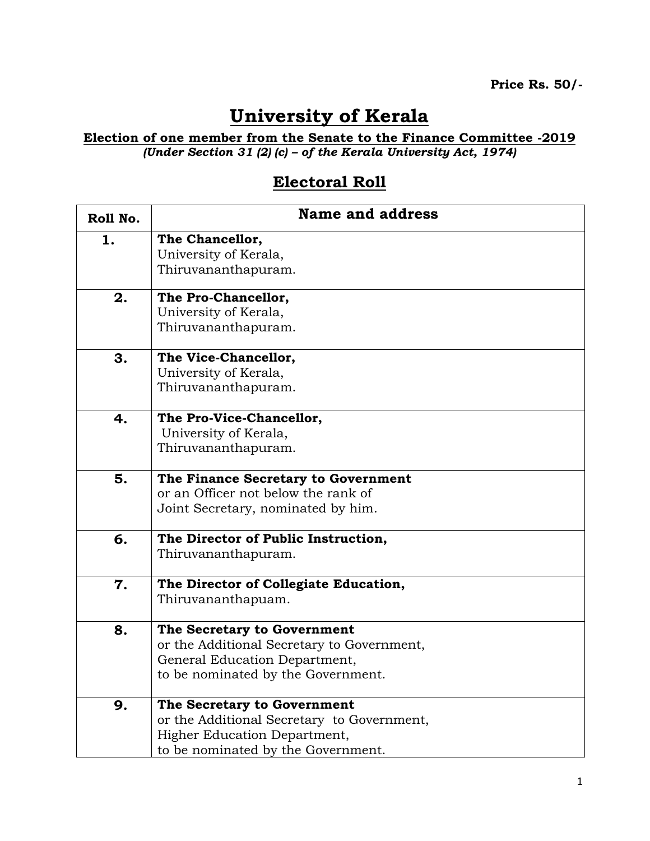## **University of Kerala**

## **Election of one member from the Senate to the Finance Committee -2019** *(Under Section 31 (2) (c) – of the Kerala University Act, 1974)*

## **Electoral Roll**

| Roll No. | <b>Name and address</b>                                                     |
|----------|-----------------------------------------------------------------------------|
| 1.       | The Chancellor,<br>University of Kerala,                                    |
|          | Thiruvananthapuram.                                                         |
| 2.       | The Pro-Chancellor,<br>University of Kerala,                                |
|          | Thiruvananthapuram.                                                         |
| 3.       | The Vice-Chancellor,                                                        |
|          | University of Kerala,<br>Thiruvananthapuram.                                |
| 4.       | The Pro-Vice-Chancellor,                                                    |
|          | University of Kerala,<br>Thiruvananthapuram.                                |
|          |                                                                             |
| 5.       | The Finance Secretary to Government<br>or an Officer not below the rank of  |
|          | Joint Secretary, nominated by him.                                          |
| 6.       | The Director of Public Instruction,<br>Thiruvananthapuram.                  |
| 7.       | The Director of Collegiate Education,<br>Thiruvananthapuam.                 |
| 8.       | The Secretary to Government                                                 |
|          | or the Additional Secretary to Government,<br>General Education Department, |
|          | to be nominated by the Government.                                          |
| 9.       | The Secretary to Government                                                 |
|          | or the Additional Secretary to Government,                                  |
|          | Higher Education Department,<br>to be nominated by the Government.          |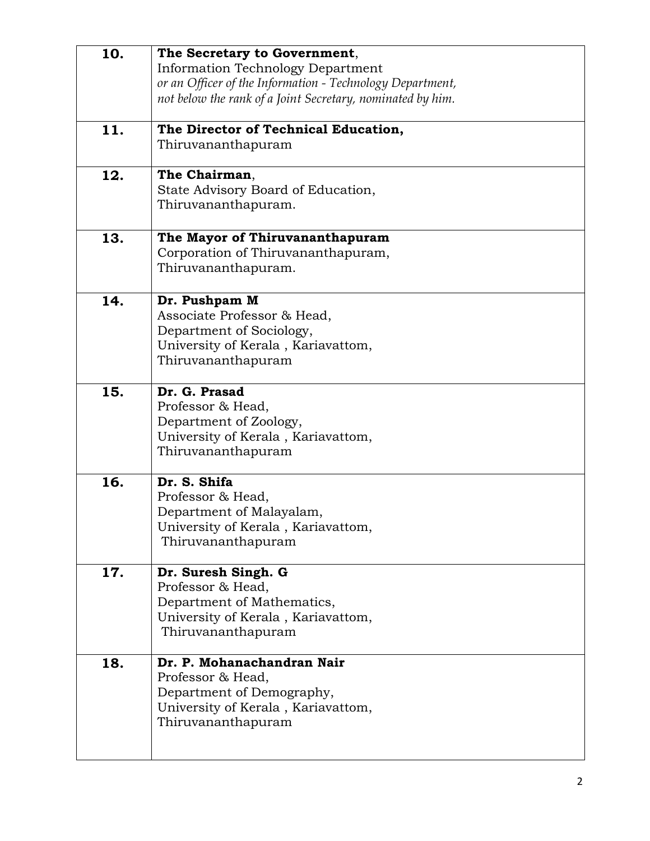| 10. | The Secretary to Government,<br>Information Technology Department<br>or an Officer of the Information - Technology Department,<br>not below the rank of a Joint Secretary, nominated by him. |
|-----|----------------------------------------------------------------------------------------------------------------------------------------------------------------------------------------------|
|     |                                                                                                                                                                                              |
| 11. | The Director of Technical Education,                                                                                                                                                         |
|     | Thiruvananthapuram                                                                                                                                                                           |
| 12. | The Chairman,                                                                                                                                                                                |
|     | State Advisory Board of Education,                                                                                                                                                           |
|     | Thiruvananthapuram.                                                                                                                                                                          |
| 13. | The Mayor of Thiruvananthapuram                                                                                                                                                              |
|     | Corporation of Thiruvananthapuram,                                                                                                                                                           |
|     | Thiruvananthapuram.                                                                                                                                                                          |
| 14. | Dr. Pushpam M                                                                                                                                                                                |
|     | Associate Professor & Head,                                                                                                                                                                  |
|     | Department of Sociology,<br>University of Kerala, Kariavattom,                                                                                                                               |
|     | Thiruvananthapuram                                                                                                                                                                           |
|     |                                                                                                                                                                                              |
| 15. | Dr. G. Prasad<br>Professor & Head,                                                                                                                                                           |
|     | Department of Zoology,                                                                                                                                                                       |
|     | University of Kerala, Kariavattom,                                                                                                                                                           |
|     | Thiruvananthapuram                                                                                                                                                                           |
| 16. | Dr. S. Shifa                                                                                                                                                                                 |
|     | Professor & Head,                                                                                                                                                                            |
|     | Department of Malayalam,<br>University of Kerala, Kariavattom,                                                                                                                               |
|     | Thiruvananthapuram                                                                                                                                                                           |
|     |                                                                                                                                                                                              |
| 17. | Dr. Suresh Singh. G<br>Professor & Head,                                                                                                                                                     |
|     | Department of Mathematics,                                                                                                                                                                   |
|     | University of Kerala, Kariavattom,                                                                                                                                                           |
|     | Thiruvananthapuram                                                                                                                                                                           |
| 18. | Dr. P. Mohanachandran Nair                                                                                                                                                                   |
|     | Professor & Head,                                                                                                                                                                            |
|     | Department of Demography,<br>University of Kerala, Kariavattom,                                                                                                                              |
|     | Thiruvananthapuram                                                                                                                                                                           |
|     |                                                                                                                                                                                              |
|     |                                                                                                                                                                                              |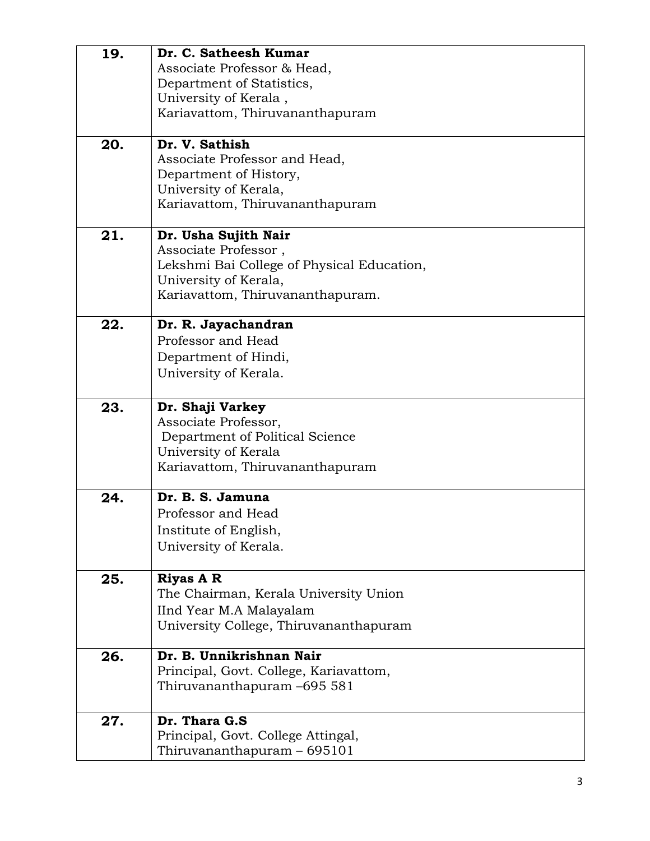| 19. | Dr. C. Satheesh Kumar                      |
|-----|--------------------------------------------|
|     | Associate Professor & Head,                |
|     | Department of Statistics,                  |
|     | University of Kerala,                      |
|     | Kariavattom, Thiruvananthapuram            |
| 20. | Dr. V. Sathish                             |
|     | Associate Professor and Head,              |
|     | Department of History,                     |
|     | University of Kerala,                      |
|     | Kariavattom, Thiruvananthapuram            |
| 21. | Dr. Usha Sujith Nair                       |
|     | Associate Professor,                       |
|     | Lekshmi Bai College of Physical Education, |
|     | University of Kerala,                      |
|     | Kariavattom, Thiruvananthapuram.           |
| 22. | Dr. R. Jayachandran                        |
|     | Professor and Head                         |
|     | Department of Hindi,                       |
|     | University of Kerala.                      |
| 23. | Dr. Shaji Varkey                           |
|     | Associate Professor,                       |
|     | Department of Political Science            |
|     | University of Kerala                       |
|     | Kariavattom, Thiruvananthapuram            |
| 24. | Dr. B. S. Jamuna                           |
|     | Professor and Head                         |
|     | Institute of English,                      |
|     | University of Kerala.                      |
| 25. | <b>Riyas A R</b>                           |
|     | The Chairman, Kerala University Union      |
|     | IInd Year M.A Malayalam                    |
|     | University College, Thiruvananthapuram     |
| 26. | Dr. B. Unnikrishnan Nair                   |
|     | Principal, Govt. College, Kariavattom,     |
|     | Thiruvananthapuram -695 581                |
| 27. | Dr. Thara G.S.                             |
|     | Principal, Govt. College Attingal,         |
|     | Thiruvananthapuram $-695101$               |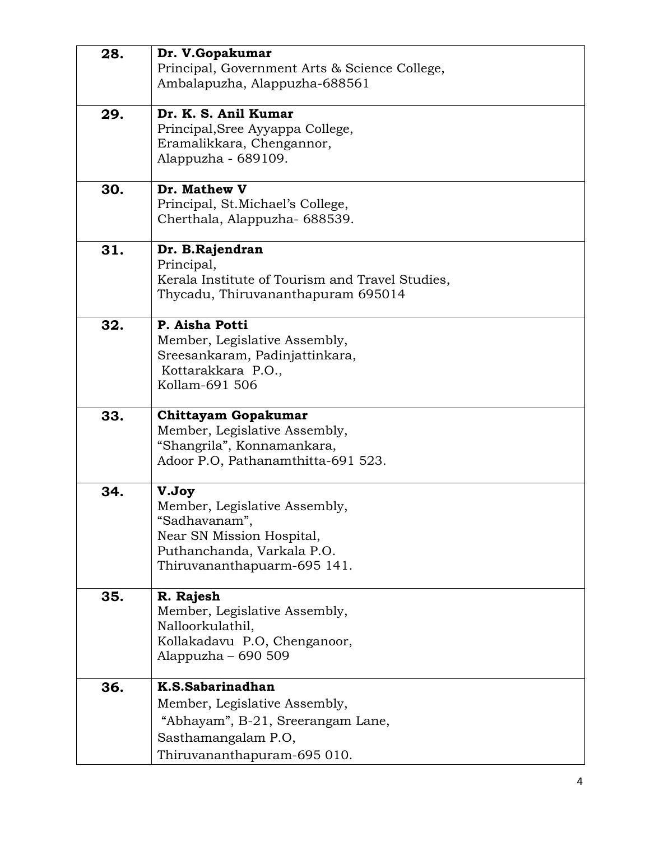| 28. | Dr. V.Gopakumar                                    |
|-----|----------------------------------------------------|
|     | Principal, Government Arts & Science College,      |
|     | Ambalapuzha, Alappuzha-688561                      |
|     |                                                    |
| 29. | Dr. K. S. Anil Kumar                               |
|     | Principal, Sree Ayyappa College,                   |
|     | Eramalikkara, Chengannor,                          |
|     | Alappuzha - 689109.                                |
|     |                                                    |
| 30. | Dr. Mathew V                                       |
|     | Principal, St. Michael's College,                  |
|     | Cherthala, Alappuzha- 688539.                      |
|     |                                                    |
| 31. | Dr. B.Rajendran                                    |
|     | Principal,                                         |
|     | Kerala Institute of Tourism and Travel Studies,    |
|     | Thycadu, Thiruvananthapuram 695014                 |
|     |                                                    |
| 32. | P. Aisha Potti                                     |
|     | Member, Legislative Assembly,                      |
|     | Sreesankaram, Padinjattinkara,                     |
|     | Kottarakkara P.O.,                                 |
|     | Kollam-691 506                                     |
|     |                                                    |
| 33. | <b>Chittayam Gopakumar</b>                         |
|     | Member, Legislative Assembly,                      |
|     | "Shangrila", Konnamankara,                         |
|     | Adoor P.O, Pathanamthitta-691 523.                 |
|     |                                                    |
| 34. | V.Joy                                              |
|     | Member, Legislative Assembly,                      |
|     | "Sadhavanam",                                      |
|     | Near SN Mission Hospital,                          |
|     | Puthanchanda, Varkala P.O.                         |
|     | Thiruvananthapuarm-695 141.                        |
| 35. | R. Rajesh                                          |
|     | Member, Legislative Assembly,                      |
|     | Nalloorkulathil,                                   |
|     | Kollakadavu P.O, Chenganoor,                       |
|     |                                                    |
|     | Alappuzha – 690 509                                |
| 36. | K.S.Sabarinadhan                                   |
|     | Member, Legislative Assembly,                      |
|     | "Abhayam", B-21, Sreerangam Lane,                  |
|     |                                                    |
|     |                                                    |
|     | Sasthamangalam P.O,<br>Thiruvananthapuram-695 010. |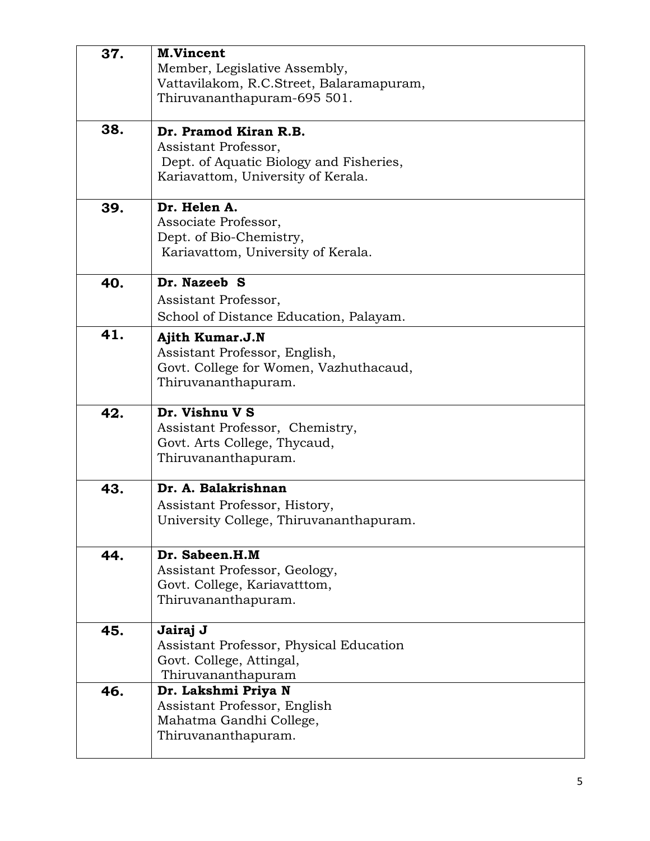| 37. | <b>M.Vincent</b><br>Member, Legislative Assembly,                        |
|-----|--------------------------------------------------------------------------|
|     | Vattavilakom, R.C.Street, Balaramapuram,                                 |
|     | Thiruvananthapuram-695 501.                                              |
| 38. | Dr. Pramod Kiran R.B.                                                    |
|     | Assistant Professor,<br>Dept. of Aquatic Biology and Fisheries,          |
|     | Kariavattom, University of Kerala.                                       |
| 39. | Dr. Helen A.                                                             |
|     | Associate Professor,                                                     |
|     | Dept. of Bio-Chemistry,<br>Kariavattom, University of Kerala.            |
|     |                                                                          |
| 40. | Dr. Nazeeb S                                                             |
|     | Assistant Professor,                                                     |
| 41. | School of Distance Education, Palayam.                                   |
|     | <b>Ajith Kumar.J.N</b><br>Assistant Professor, English,                  |
|     | Govt. College for Women, Vazhuthacaud,                                   |
|     | Thiruvananthapuram.                                                      |
| 42. | Dr. Vishnu V S                                                           |
|     | Assistant Professor, Chemistry,                                          |
|     | Govt. Arts College, Thycaud,<br>Thiruvananthapuram.                      |
|     |                                                                          |
| 43. | Dr. A. Balakrishnan                                                      |
|     | Assistant Professor, History,<br>University College, Thiruvananthapuram. |
|     |                                                                          |
| 44. | Dr. Sabeen.H.M                                                           |
|     | Assistant Professor, Geology,<br>Govt. College, Kariavatttom,            |
|     | Thiruvananthapuram.                                                      |
|     |                                                                          |
| 45. | Jairaj J<br>Assistant Professor, Physical Education                      |
|     | Govt. College, Attingal,                                                 |
|     | Thiruvananthapuram                                                       |
| 46. | Dr. Lakshmi Priya N                                                      |
|     | Assistant Professor, English<br>Mahatma Gandhi College,                  |
|     | Thiruvananthapuram.                                                      |
|     |                                                                          |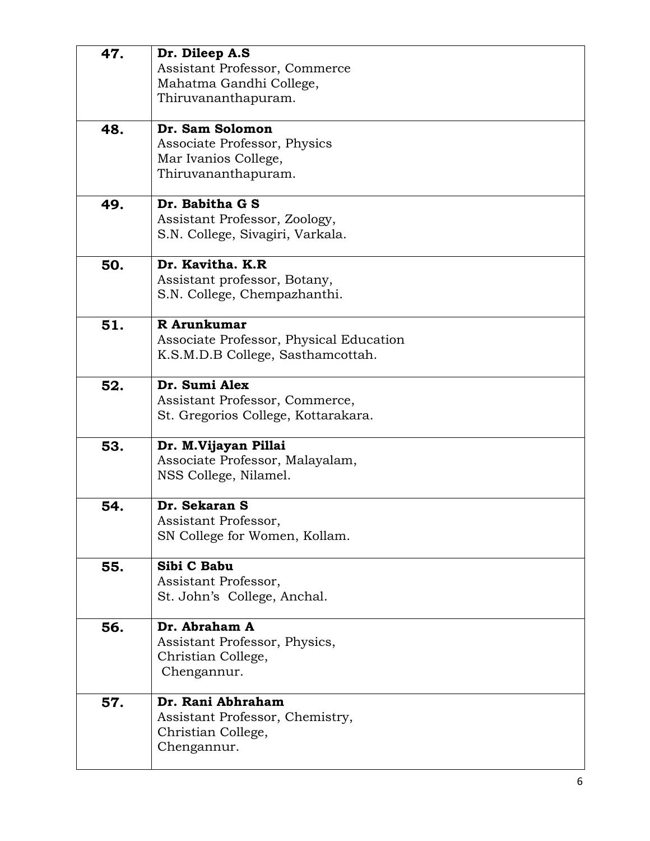| 47. | Dr. Dileep A.S<br>Assistant Professor, Commerce<br>Mahatma Gandhi College,<br>Thiruvananthapuram. |
|-----|---------------------------------------------------------------------------------------------------|
| 48. | Dr. Sam Solomon<br>Associate Professor, Physics<br>Mar Ivanios College,<br>Thiruvananthapuram.    |
| 49. | Dr. Babitha G S<br>Assistant Professor, Zoology,<br>S.N. College, Sivagiri, Varkala.              |
| 50. | Dr. Kavitha. K.R<br>Assistant professor, Botany,<br>S.N. College, Chempazhanthi.                  |
| 51. | R Arunkumar<br>Associate Professor, Physical Education<br>K.S.M.D.B College, Sasthamcottah.       |
| 52. | Dr. Sumi Alex<br>Assistant Professor, Commerce,<br>St. Gregorios College, Kottarakara.            |
| 53. | Dr. M.Vijayan Pillai<br>Associate Professor, Malayalam,<br>NSS College, Nilamel.                  |
| 54. | Dr. Sekaran S<br>Assistant Professor,<br>SN College for Women, Kollam.                            |
| 55. | Sibi C Babu<br>Assistant Professor,<br>St. John's College, Anchal.                                |
| 56. | Dr. Abraham A<br>Assistant Professor, Physics,<br>Christian College,<br>Chengannur.               |
| 57. | Dr. Rani Abhraham<br>Assistant Professor, Chemistry,<br>Christian College,<br>Chengannur.         |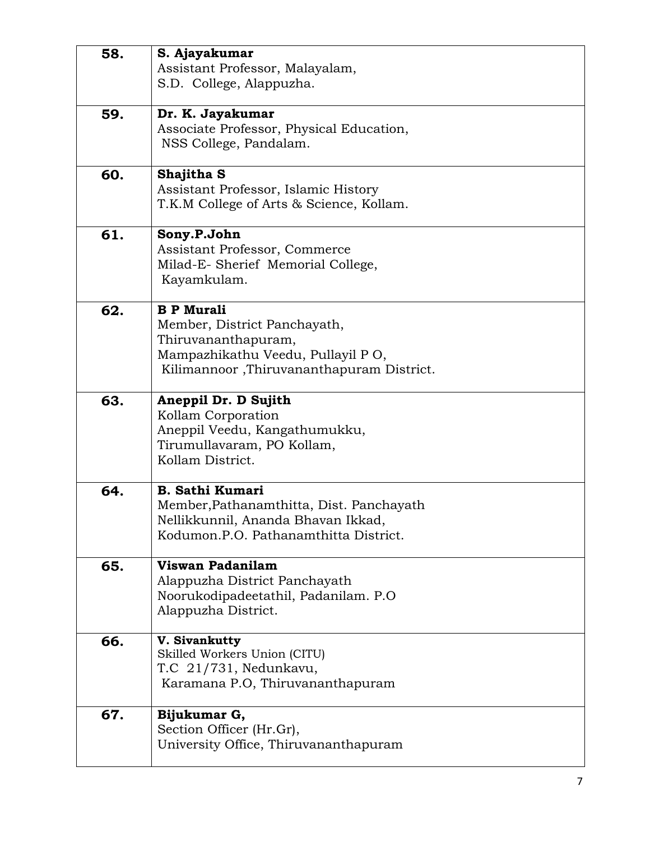| 58. | S. Ajayakumar                                              |
|-----|------------------------------------------------------------|
|     | Assistant Professor, Malayalam,                            |
|     | S.D. College, Alappuzha.                                   |
|     |                                                            |
| 59. | Dr. K. Jayakumar                                           |
|     | Associate Professor, Physical Education,                   |
|     | NSS College, Pandalam.                                     |
|     |                                                            |
| 60. | Shajitha S                                                 |
|     | Assistant Professor, Islamic History                       |
|     | T.K.M College of Arts & Science, Kollam.                   |
|     |                                                            |
| 61. | Sony.P.John                                                |
|     | Assistant Professor, Commerce                              |
|     | Milad-E- Sherief Memorial College,                         |
|     | Kayamkulam.                                                |
|     |                                                            |
| 62. | <b>B P Murali</b>                                          |
|     | Member, District Panchayath,                               |
|     | Thiruvananthapuram,                                        |
|     | Mampazhikathu Veedu, Pullayil PO,                          |
|     | Kilimannoor, Thiruvananthapuram District.                  |
|     |                                                            |
| 63. | Aneppil Dr. D Sujith                                       |
|     | Kollam Corporation                                         |
|     | Aneppil Veedu, Kangathumukku,                              |
|     | Tirumullavaram, PO Kollam,<br>Kollam District.             |
|     |                                                            |
| 64. | <b>B. Sathi Kumari</b>                                     |
|     | Member, Pathanamthitta, Dist. Panchayath                   |
|     | Nellikkunnil, Ananda Bhavan Ikkad,                         |
|     | Kodumon.P.O. Pathanamthitta District.                      |
|     |                                                            |
| 65. | Viswan Padanilam                                           |
|     | Alappuzha District Panchayath                              |
|     | Noorukodipadeetathil, Padanilam. P.O.                      |
|     | Alappuzha District.                                        |
|     |                                                            |
| 66. | V. Sivankutty                                              |
|     | Skilled Workers Union (CITU)                               |
|     | T.C 21/731, Nedunkavu,<br>Karamana P.O, Thiruvananthapuram |
|     |                                                            |
| 67. | Bijukumar G,                                               |
|     | Section Officer (Hr.Gr),                                   |
|     | University Office, Thiruvananthapuram                      |
|     |                                                            |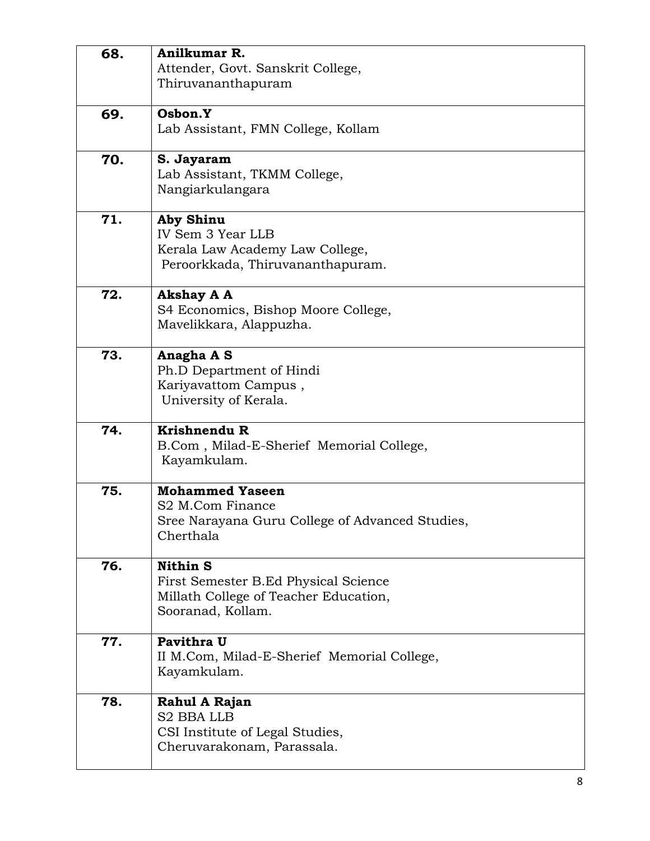| 68. | Anilkumar R.                                    |
|-----|-------------------------------------------------|
|     | Attender, Govt. Sanskrit College,               |
|     | Thiruvananthapuram                              |
|     |                                                 |
| 69. | Osbon.Y                                         |
|     | Lab Assistant, FMN College, Kollam              |
|     |                                                 |
| 70. | S. Jayaram                                      |
|     | Lab Assistant, TKMM College,                    |
|     | Nangiarkulangara                                |
|     |                                                 |
| 71. | <b>Aby Shinu</b>                                |
|     | IV Sem 3 Year LLB                               |
|     | Kerala Law Academy Law College,                 |
|     | Peroorkkada, Thiruvananthapuram.                |
|     |                                                 |
| 72. | <b>Akshay A A</b>                               |
|     | S4 Economics, Bishop Moore College,             |
|     | Mavelikkara, Alappuzha.                         |
| 73. | Anagha A S                                      |
|     | Ph.D Department of Hindi                        |
|     | Kariyavattom Campus,                            |
|     | University of Kerala.                           |
|     |                                                 |
| 74. | Krishnendu R                                    |
|     | B.Com, Milad-E-Sherief Memorial College,        |
|     | Kayamkulam.                                     |
|     |                                                 |
| 75. | <b>Mohammed Yaseen</b>                          |
|     | S <sub>2</sub> M.Com Finance                    |
|     | Sree Narayana Guru College of Advanced Studies, |
|     | Cherthala                                       |
|     |                                                 |
| 76. | <b>Nithin S</b>                                 |
|     | First Semester B.Ed Physical Science            |
|     | Millath College of Teacher Education,           |
|     | Sooranad, Kollam.                               |
| 77. | Pavithra U                                      |
|     | II M.Com, Milad-E-Sherief Memorial College,     |
|     | Kayamkulam.                                     |
|     |                                                 |
| 78. | Rahul A Rajan                                   |
|     | <b>S2 BBA LLB</b>                               |
|     | CSI Institute of Legal Studies,                 |
|     | Cheruvarakonam, Parassala.                      |
|     |                                                 |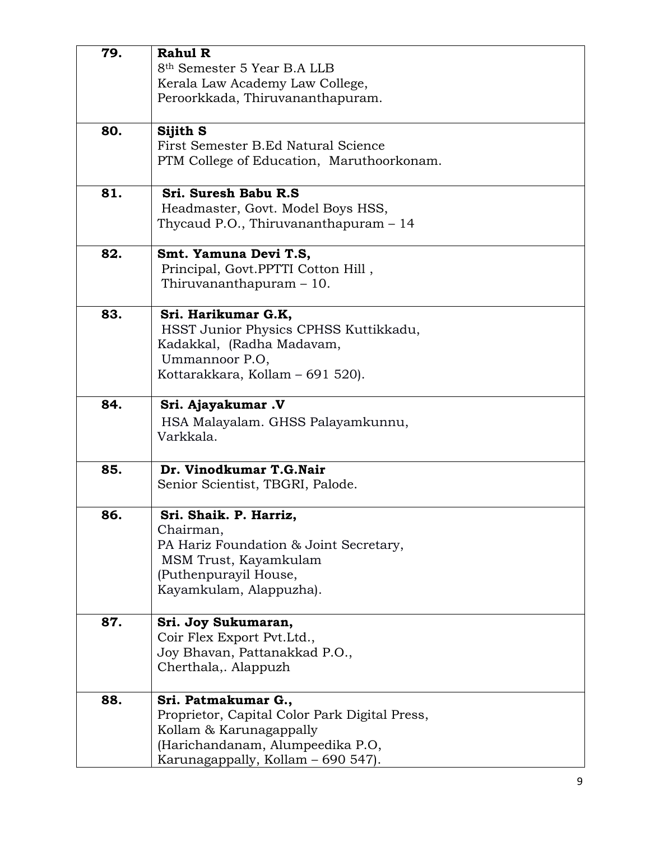| 79. | <b>Rahul R</b>                                |
|-----|-----------------------------------------------|
|     | 8 <sup>th</sup> Semester 5 Year B.A LLB       |
|     | Kerala Law Academy Law College,               |
|     |                                               |
|     | Peroorkkada, Thiruvananthapuram.              |
|     |                                               |
| 80. | Sijith S                                      |
|     | First Semester B.Ed Natural Science           |
|     | PTM College of Education, Maruthoorkonam.     |
|     |                                               |
| 81. | Sri. Suresh Babu R.S.                         |
|     | Headmaster, Govt. Model Boys HSS,             |
|     | Thycaud P.O., Thiruvananthapuram $-14$        |
|     |                                               |
| 82. | Smt. Yamuna Devi T.S,                         |
|     | Principal, Govt.PPTTI Cotton Hill,            |
|     | Thiruvananthapuram $-10$ .                    |
|     |                                               |
| 83. | Sri. Harikumar G.K,                           |
|     | HSST Junior Physics CPHSS Kuttikkadu,         |
|     | Kadakkal, (Radha Madavam,                     |
|     |                                               |
|     | Ummannoor P.O,                                |
|     | Kottarakkara, Kollam – 691 520).              |
|     |                                               |
| 84. | Sri. Ajayakumar. V                            |
|     | HSA Malayalam. GHSS Palayamkunnu,             |
|     | Varkkala.                                     |
|     |                                               |
| 85. | Dr. Vinodkumar T.G.Nair                       |
|     | Senior Scientist, TBGRI, Palode.              |
|     |                                               |
| 86. | Sri. Shaik. P. Harriz.                        |
|     | Chairman,                                     |
|     | PA Hariz Foundation & Joint Secretary,        |
|     | MSM Trust, Kayamkulam                         |
|     |                                               |
|     | (Puthenpurayil House,                         |
|     | Kayamkulam, Alappuzha).                       |
|     |                                               |
| 87. | Sri. Joy Sukumaran,                           |
|     | Coir Flex Export Pvt.Ltd.,                    |
|     | Joy Bhavan, Pattanakkad P.O.,                 |
|     | Cherthala,. Alappuzh                          |
|     |                                               |
| 88. | Sri. Patmakumar G.,                           |
|     | Proprietor, Capital Color Park Digital Press, |
|     | Kollam & Karunagappally                       |
|     |                                               |
|     | (Harichandanam, Alumpeedika P.O,              |
|     | Karunagappally, Kollam - 690 547).            |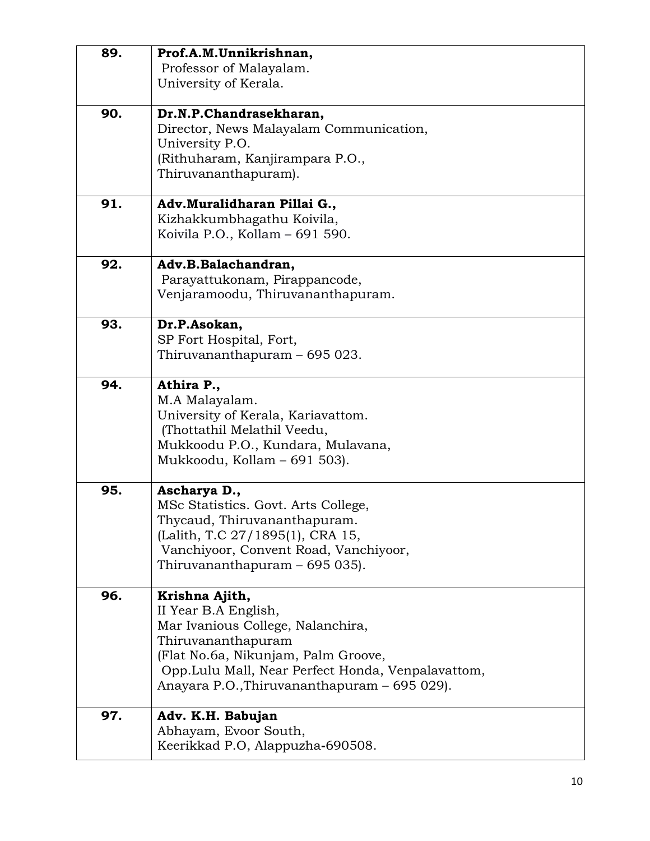| 89. | Prof.A.M.Unnikrishnan,                                                    |
|-----|---------------------------------------------------------------------------|
|     | Professor of Malayalam.                                                   |
|     | University of Kerala.                                                     |
| 90. | Dr.N.P.Chandrasekharan,                                                   |
|     | Director, News Malayalam Communication,                                   |
|     | University P.O.                                                           |
|     | (Rithuharam, Kanjirampara P.O.,                                           |
|     | Thiruvananthapuram).                                                      |
| 91. | Adv.Muralidharan Pillai G.,                                               |
|     | Kizhakkumbhagathu Koivila,                                                |
|     | Koivila P.O., Kollam - 691 590.                                           |
| 92. | Adv.B.Balachandran,                                                       |
|     | Parayattukonam, Pirappancode,                                             |
|     | Venjaramoodu, Thiruvananthapuram.                                         |
| 93. | Dr.P.Asokan,                                                              |
|     | SP Fort Hospital, Fort,                                                   |
|     | Thiruvananthapuram - 695 023.                                             |
| 94. | Athira P.,                                                                |
|     | M.A Malayalam.                                                            |
|     | University of Kerala, Kariavattom.                                        |
|     | (Thottathil Melathil Veedu,                                               |
|     | Mukkoodu P.O., Kundara, Mulavana,                                         |
|     | Mukkoodu, Kollam - 691 503).                                              |
| 95. | Ascharya D.,                                                              |
|     | MSc Statistics. Govt. Arts College,                                       |
|     | Thycaud, Thiruvananthapuram.                                              |
|     | (Lalith, T.C 27/1895(1), CRA 15,<br>Vanchiyoor, Convent Road, Vanchiyoor, |
|     | Thiruvananthapuram – 695 035).                                            |
|     |                                                                           |
| 96. | Krishna Ajith,                                                            |
|     | II Year B.A English,                                                      |
|     | Mar Ivanious College, Nalanchira,<br>Thiruvananthapuram                   |
|     | (Flat No.6a, Nikunjam, Palm Groove,                                       |
|     | Opp. Lulu Mall, Near Perfect Honda, Venpalavattom,                        |
|     | Anayara P.O., Thiruvananthapuram - 695 029).                              |
| 97. | Adv. K.H. Babujan                                                         |
|     | Abhayam, Evoor South,                                                     |
|     | Keerikkad P.O, Alappuzha-690508.                                          |